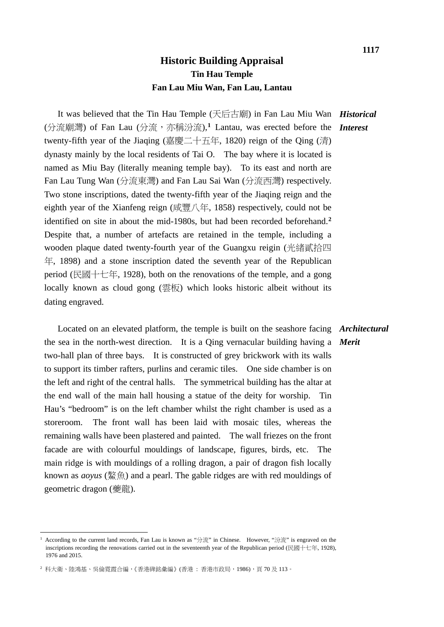It was believed that the Tin Hau Temple (天后古廟) in Fan Lau Miu Wan *Historical* (分流廟灣) of Fan Lau (分流,亦稱汾流),<sup>[1](#page-0-0)</sup> Lantau, was erected before the *Interest* twenty-fifth year of the Jiaqing (嘉慶二十五年, 1820) reign of the Qing (清) dynasty mainly by the local residents of Tai O. The bay where it is located is named as Miu Bay (literally meaning temple bay). To its east and north are Fan Lau Tung Wan (分流東灣) and Fan Lau Sai Wan (分流西灣) respectively. Two stone inscriptions, dated the twenty-fifth year of the Jiaqing reign and the eighth year of the Xianfeng reign (咸豐八年, 1858) respectively, could not be identified on site in about the mid-1980s, but had been recorded beforehand.**[2](#page-0-1)** Despite that, a number of artefacts are retained in the temple, including a wooden plaque dated twenty-fourth year of the Guangxu reigin (光緒貳拾四 年, 1898) and a stone inscription dated the seventh year of the Republican period (民國十七年, 1928), both on the renovations of the temple, and a gong locally known as cloud gong (雲板) which looks historic albeit without its dating engraved.

 Located on an elevated platform, the temple is built on the seashore facing *Architectural* the sea in the north-west direction. It is a Qing vernacular building having a *Merit* two-hall plan of three bays. It is constructed of grey brickwork with its walls to support its timber rafters, purlins and ceramic tiles. One side chamber is on the left and right of the central halls. The symmetrical building has the altar at the end wall of the main hall housing a statue of the deity for worship. Tin Hau's "bedroom" is on the left chamber whilst the right chamber is used as a storeroom. The front wall has been laid with mosaic tiles, whereas the remaining walls have been plastered and painted. The wall friezes on the front facade are with colourful mouldings of landscape, figures, birds, etc. The main ridge is with mouldings of a rolling dragon, a pair of dragon fish locally known as *aoyus* (鰲魚) and a pearl. The gable ridges are with red mouldings of geometric dragon (夔龍).

<u>.</u>

<span id="page-0-0"></span><sup>&</sup>lt;sup>1</sup> According to the current land records, Fan Lau is known as "分流" in Chinese. However, "汾流" is engraved on the inscriptions recording the renovations carried out in the seventeenth year of the Republican period (民國十七年, 1928), 1976 and 2015.

<span id="page-0-1"></span> $^2$ 科大衛、陸鴻基、吳倫霓霞合編,《香港碑銘彙編》(香港: 香港市政局,1986),頁 70 及 113。